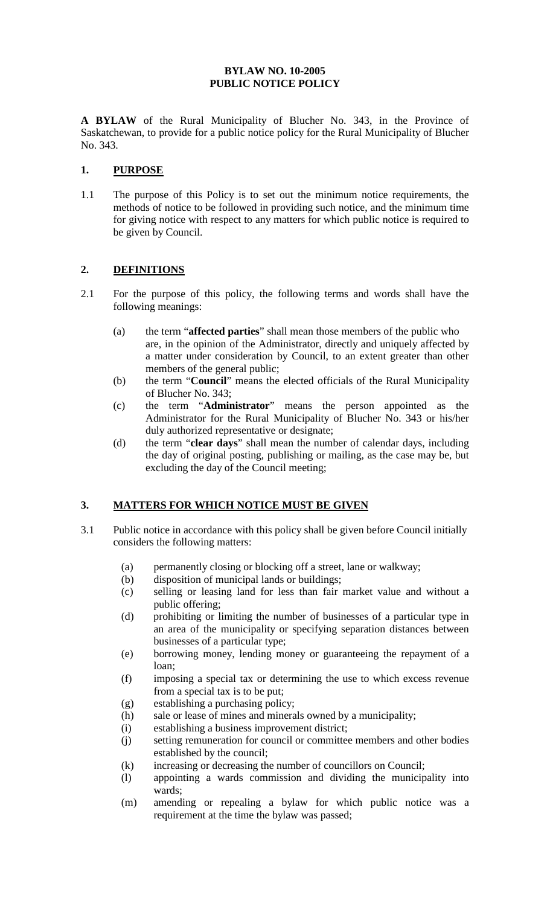#### **BYLAW NO. 10-2005 PUBLIC NOTICE POLICY**

**A BYLAW** of the Rural Municipality of Blucher No. 343, in the Province of Saskatchewan, to provide for a public notice policy for the Rural Municipality of Blucher No. 343.

#### **1. PURPOSE**

1.1 The purpose of this Policy is to set out the minimum notice requirements, the methods of notice to be followed in providing such notice, and the minimum time for giving notice with respect to any matters for which public notice is required to be given by Council.

## **2. DEFINITIONS**

- 2.1 For the purpose of this policy, the following terms and words shall have the following meanings:
	- (a) the term "**affected parties**" shall mean those members of the public who are, in the opinion of the Administrator, directly and uniquely affected by a matter under consideration by Council, to an extent greater than other members of the general public;
	- (b) the term "**Council**" means the elected officials of the Rural Municipality of Blucher No. 343;
	- (c) the term "**Administrator**" means the person appointed as the Administrator for the Rural Municipality of Blucher No. 343 or his/her duly authorized representative or designate;
	- (d) the term "**clear days**" shall mean the number of calendar days, including the day of original posting, publishing or mailing, as the case may be, but excluding the day of the Council meeting;

## **3. MATTERS FOR WHICH NOTICE MUST BE GIVEN**

- 3.1 Public notice in accordance with this policy shall be given before Council initially considers the following matters:
	- (a) permanently closing or blocking off a street, lane or walkway;
	- (b) disposition of municipal lands or buildings;
	- (c) selling or leasing land for less than fair market value and without a public offering;
	- (d) prohibiting or limiting the number of businesses of a particular type in an area of the municipality or specifying separation distances between businesses of a particular type;
	- (e) borrowing money, lending money or guaranteeing the repayment of a loan;
	- (f) imposing a special tax or determining the use to which excess revenue from a special tax is to be put;
	- (g) establishing a purchasing policy;
	- (h) sale or lease of mines and minerals owned by a municipality;
	- (i) establishing a business improvement district;
	- (j) setting remuneration for council or committee members and other bodies established by the council;
	- (k) increasing or decreasing the number of councillors on Council;
	- (l) appointing a wards commission and dividing the municipality into wards;
	- (m) amending or repealing a bylaw for which public notice was a requirement at the time the bylaw was passed;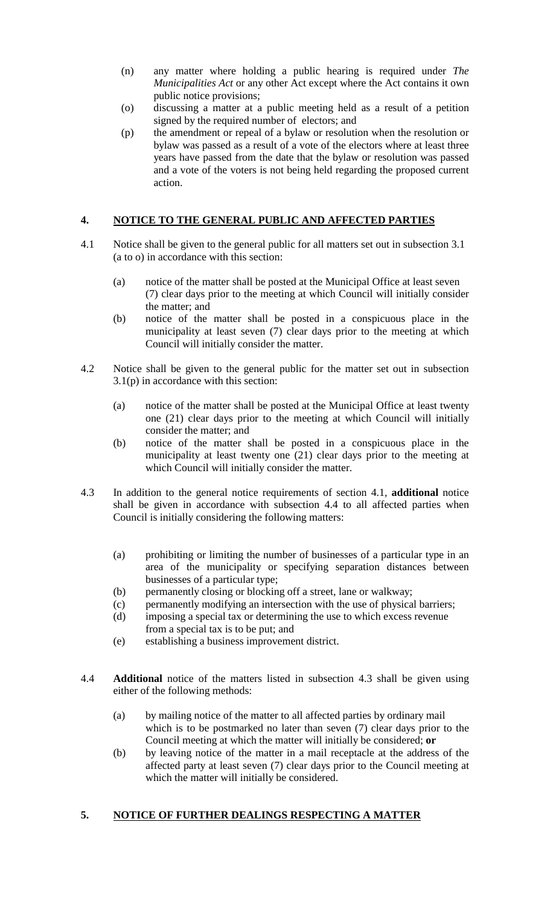- (n) any matter where holding a public hearing is required under *The Municipalities Act* or any other Act except where the Act contains it own public notice provisions;
- (o) discussing a matter at a public meeting held as a result of a petition signed by the required number of electors; and
- (p) the amendment or repeal of a bylaw or resolution when the resolution or bylaw was passed as a result of a vote of the electors where at least three years have passed from the date that the bylaw or resolution was passed and a vote of the voters is not being held regarding the proposed current action.

## **4. NOTICE TO THE GENERAL PUBLIC AND AFFECTED PARTIES**

- 4.1 Notice shall be given to the general public for all matters set out in subsection 3.1 (a to o) in accordance with this section:
	- (a) notice of the matter shall be posted at the Municipal Office at least seven (7) clear days prior to the meeting at which Council will initially consider the matter; and
	- (b) notice of the matter shall be posted in a conspicuous place in the municipality at least seven (7) clear days prior to the meeting at which Council will initially consider the matter.
- 4.2 Notice shall be given to the general public for the matter set out in subsection 3.1(p) in accordance with this section:
	- (a) notice of the matter shall be posted at the Municipal Office at least twenty one (21) clear days prior to the meeting at which Council will initially consider the matter; and
	- (b) notice of the matter shall be posted in a conspicuous place in the municipality at least twenty one (21) clear days prior to the meeting at which Council will initially consider the matter.
- 4.3 In addition to the general notice requirements of section 4.1, **additional** notice shall be given in accordance with subsection 4.4 to all affected parties when Council is initially considering the following matters:
	- (a) prohibiting or limiting the number of businesses of a particular type in an area of the municipality or specifying separation distances between businesses of a particular type;
	- (b) permanently closing or blocking off a street, lane or walkway;
	- (c) permanently modifying an intersection with the use of physical barriers;
	- (d) imposing a special tax or determining the use to which excess revenue from a special tax is to be put; and
	- (e) establishing a business improvement district.
- 4.4 **Additional** notice of the matters listed in subsection 4.3 shall be given using either of the following methods:
	- (a) by mailing notice of the matter to all affected parties by ordinary mail which is to be postmarked no later than seven (7) clear days prior to the Council meeting at which the matter will initially be considered; **or**
	- (b) by leaving notice of the matter in a mail receptacle at the address of the affected party at least seven (7) clear days prior to the Council meeting at which the matter will initially be considered.

## **5. NOTICE OF FURTHER DEALINGS RESPECTING A MATTER**